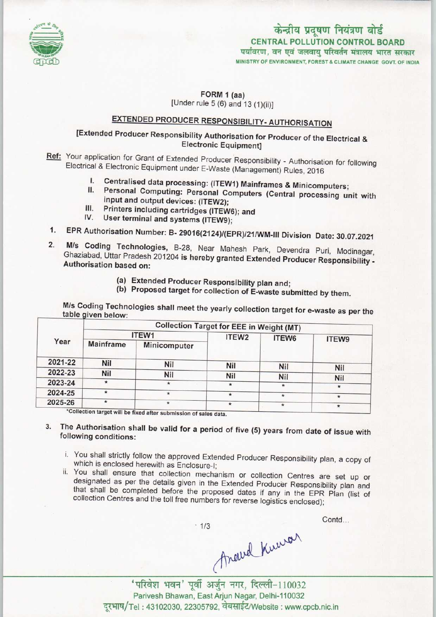

# केन्द्रीय प्रदूषण नियंत्रण बोर्ड CENTRAL POLLUTION CONTROL BOARD<br>पर्यावरण, वन एवं जलवाय परिवर्तन मंत्रालय भारत सरकार

MINISTRY OF ENVIRONMENT, FOREST S CLIMATE CHANGE GOVT. OF INDIA

#### FORM 1 (aa) [Under rule  $5(6)$  and  $13(1)(ii)$ ]

## EXTENDED PRODUCER RESPONSIBILITY-AUTHORISATION

#### [Extended Producer Responsibility Authorisation for Producer of the Electrical & Electronic Equipment]

Ref: Your application for Grant of Extended Producer Responsibility - Authorisation for following Electrical & Electronic Equipment under E-Waste (Management) Rules, 2016 al & Electronic Equipment under E-Waste (Management) Rules, 2016<br>I. Centralised data processing: (ITEW1) Mainframes & Minicomputers;

- 
- I. Centralised data processing: (ITEW1) Mainframes & Minicomputers;<br>II. Personal Computing: Personal Computers (Central processing unit with Personal Computing: Personal Computers (Central processing unit with<br>input and output devices: (ITEW2): II. Personal Computing: Personal Compute<br>
input and output devices: (ITEW2);<br>
III. Printers including cartridges (ITEW6); and<br>
IV. Has terminist
- III. Printers including cartridges (ITEW)<br>IV. User terminal and systems (ITEW9);
- 
- 1. EPR Authorisation Number: B- 29016(2124)/(EPR)/21/WM-III Division Date: 30.07.2021<br>1. EPR Authorisation Number: B- 29016(2124)/(EPR)/21/WM-III Division Date: 30.07.2021
- 1. EPR Authorisation Number: B- 29016(2124)/(EPR)/21/WM-III Division Date: 30.07.2021<br>2. M/s Coding Technologies, B-28, Near Mahesh Park, Devendra Puri, Modinagar, M/s Coding Technologies, B-28, Near Mahesh Park, Devendra Puri, Modinagar, Ghaziabad, Uttar Pradesh 201204 is hereby granted Extended Producer Responsibility -Authorisation based on:
	- (a)Extended Producer Responsibility plan and;
	- (b) Proposed target for collection of E-waste submitted by them.

M/s Coding Technologies shall meet the yearly collection target for e-waste as per the table given below:

| Year    | <b>Collection Target for EEE in Weight (MT)</b> |              |                    |            |            |
|---------|-------------------------------------------------|--------------|--------------------|------------|------------|
|         | ITEW1                                           |              | ITEW <sub>2</sub>  | ITEW6      | ITEW9      |
|         | <b>Mainframe</b>                                | Minicomputer |                    |            |            |
| 2021-22 | Nil                                             | Nil          | Nil                |            |            |
| 2022-23 | <b>Nil</b>                                      | Nil          |                    | Nil        | Nil        |
| 2023-24 | $\star$                                         | $\star$      | <b>Nil</b><br>∗    | <b>Nil</b> | <b>Nil</b> |
| 2024-25 | $\star$                                         | $\star$      |                    |            |            |
| 2025-26 | $\star$                                         | $\star$      | $\star$<br>$\star$ | $\star$    | $\star$    |

will be fixed after submission of sales data.

#### 3. The Authorisation shall be valid for a period of five (5) years from date of issue with following conditions:

- i. You shall strictly follow the approved Extended Producer Responsibility plan, a copy of which is enclosed herewith as Enclosure-I;
- ii. You shall ensure that collection mechanism or collection Centres are set up or designated as per the details given in the Extended Producer Responsibility plan and that shall be completed before the proposed dates if any in the EPR Plan (list of collection Centres and the toll free numbers for reverse logistics enclosed);

 $.1/3$ 

**Contd...** 

Anderd Knewar ' परिवेश भवन' पूर्वी अर्जुन नगर, दिल्ली-110032<br>Parivesh Bhawan, East Arjun Nagar, Delhi-110032<br>दुरभाष/Tel: 43102030, 22305792, वेबसाईट/Website : www.cpcb.nic.in Parivesh Bhawan, East Arjun Nagar, Delhi-110032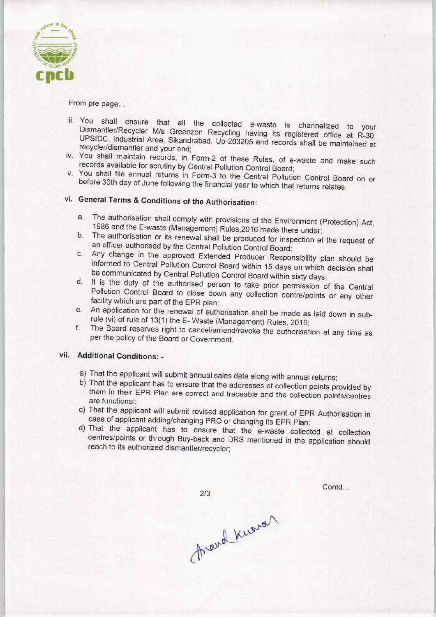

From pre page...

- iii. You shall ensure that all the collected e-waste is channelized to your Dismantler/Recycler M/s Greenzon Recycling having its registered office at R-30, UPSIDC, Industrial Area, Sikandrabad, Up-203205 and records shall be maintained at recycler/dismantler and your end;
- iv. You shall maintain records, in Form-2 of these Rules, of e-waste and make such records available for scrutiny by Central Pollution Control Board;
- v. You shall file annual returns in Form-3 to the Central Pollution Control Board on or before 30th day of June following the financial year to which that returns relates.

### vi. General Terms & Conditions of the Authorisation:

- a.The authorisation shall comply with provisions of the Environment (Protection) Act, 1986 and the E-waste (Management) Rules,2016 made there under;
- b. The authorisation or its renewal shall be produced for inspection at the request of an officer authorised by the Central Pollution Control Board;
- c.Any change in the approved Extended Producer Responsibility plan should be informed to Central Pollution Control Board within 15 days on which decision shall be communicated by Central Pollution Control Board within sixty days;
- d. It is the duty of the authorised person to take prior permission of the Central Pollution Control Board to close down any collection centre/points or any other facility which are part of the EPR plan;
- e.An application for the renewal of authorisation shall be made as laid down in subrule (vi) of rule of 13(1) the E- Waste (Management) Rules. 2016;
- f. The Board reserves right to cancel/amend/revoke the authorisation at any time as per the policy of the Board or Government.

#### vii. Additional Conditions: -

- a) That the applicant will submit annual sales data along with annual returns;
- b) That the applicant has to ensure that the addresses of collection points provided by them in their EPR Plan are correct and traceable and the collection points/centres are functional;
- c) That the applicant will submit revised application for grant of EPR Authorisation in case of applicant adding/changing PRO or changing its EPR Plan;
- d)That the applicant has to ensure that the e-waste collected at collection centres/points or through Buy-back and DRS mentioned in the application should reach to its authorized dismantler/recycler;

 $2/3$ 

Contd...

frand knows